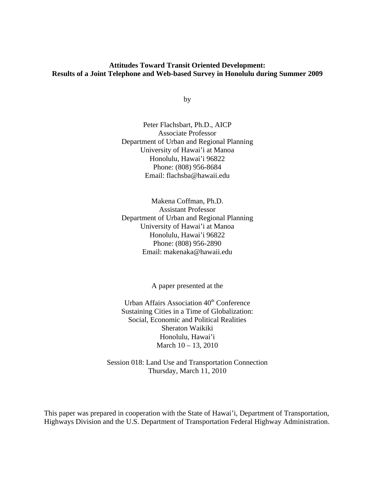# **Attitudes Toward Transit Oriented Development: Results of a Joint Telephone and Web-based Survey in Honolulu during Summer 2009**

by

Peter Flachsbart, Ph.D., AICP Associate Professor Department of Urban and Regional Planning University of Hawai'i at Manoa Honolulu, Hawai'i 96822 Phone: (808) 956-8684 Email: flachsba@hawaii.edu

Makena Coffman, Ph.D. Assistant Professor Department of Urban and Regional Planning University of Hawai'i at Manoa Honolulu, Hawai'i 96822 Phone: (808) 956-2890 Email: makenaka@hawaii.edu

A paper presented at the

Urban Affairs Association  $40<sup>th</sup>$  Conference Sustaining Cities in a Time of Globalization: Social, Economic and Political Realities Sheraton Waikiki Honolulu, Hawai'i March 10 – 13, 2010

Session 018: Land Use and Transportation Connection Thursday, March 11, 2010

This paper was prepared in cooperation with the State of Hawai'i, Department of Transportation, Highways Division and the U.S. Department of Transportation Federal Highway Administration.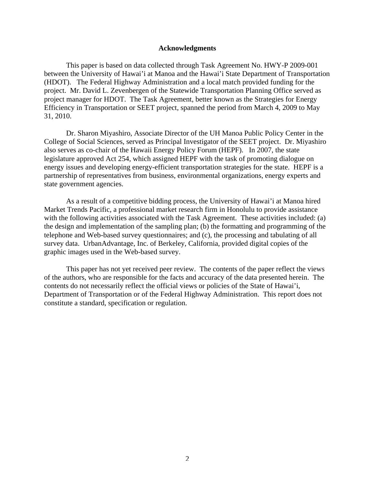#### **Acknowledgments**

This paper is based on data collected through Task Agreement No. HWY-P 2009-001 between the University of Hawai'i at Manoa and the Hawai'i State Department of Transportation (HDOT). The Federal Highway Administration and a local match provided funding for the project. Mr. David L. Zevenbergen of the Statewide Transportation Planning Office served as project manager for HDOT. The Task Agreement, better known as the Strategies for Energy Efficiency in Transportation or SEET project, spanned the period from March 4, 2009 to May 31, 2010.

Dr. Sharon Miyashiro, Associate Director of the UH Manoa Public Policy Center in the College of Social Sciences, served as Principal Investigator of the SEET project. Dr. Miyashiro also serves as co-chair of the Hawaii Energy Policy Forum (HEPF). In 2007, the state legislature approved Act 254, which assigned HEPF with the task of promoting dialogue on energy issues and developing energy-efficient transportation strategies for the state. HEPF is a partnership of representatives from business, environmental organizations, energy experts and state government agencies.

As a result of a competitive bidding process, the University of Hawai'i at Manoa hired Market Trends Pacific, a professional market research firm in Honolulu to provide assistance with the following activities associated with the Task Agreement. These activities included: (a) the design and implementation of the sampling plan; (b) the formatting and programming of the telephone and Web-based survey questionnaires; and (c), the processing and tabulating of all survey data. UrbanAdvantage, Inc. of Berkeley, California, provided digital copies of the graphic images used in the Web-based survey.

This paper has not yet received peer review. The contents of the paper reflect the views of the authors, who are responsible for the facts and accuracy of the data presented herein. The contents do not necessarily reflect the official views or policies of the State of Hawai'i, Department of Transportation or of the Federal Highway Administration. This report does not constitute a standard, specification or regulation.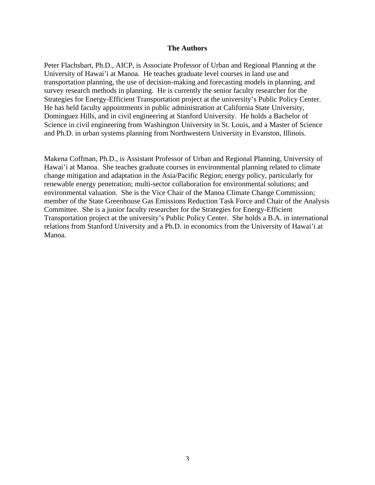#### **The Authors**

Peter Flachsbart, Ph.D., AICP, is Associate Professor of Urban and Regional Planning at the University of Hawai'i at Manoa. He teaches graduate level courses in land use and transportation planning, the use of decision-making and forecasting models in planning, and survey research methods in planning. He is currently the senior faculty researcher for the Strategies for Energy-Efficient Transportation project at the university's Public Policy Center. He has held faculty appointments in public administration at California State University, Dominguez Hills, and in civil engineering at Stanford University. He holds a Bachelor of Science in civil engineering from Washington University in St. Louis, and a Master of Science and Ph.D. in urban systems planning from Northwestern University in Evanston, Illinois.

Makena Coffman, Ph.D., is Assistant Professor of Urban and Regional Planning, University of Hawai'i at Manoa. She teaches graduate courses in environmental planning related to climate change mitigation and adaptation in the Asia/Pacific Region; energy policy, particularly for renewable energy penetration; multi-sector collaboration for environmental solutions; and environmental valuation. She is the Vice Chair of the Manoa Climate Change Commission; member of the State Greenhouse Gas Emissions Reduction Task Force and Chair of the Analysis Committee. She is a junior faculty researcher for the Strategies for Energy-Efficient Transportation project at the university's Public Policy Center. She holds a B.A. in international relations from Stanford University and a Ph.D. in economics from the University of Hawai'i at Manoa.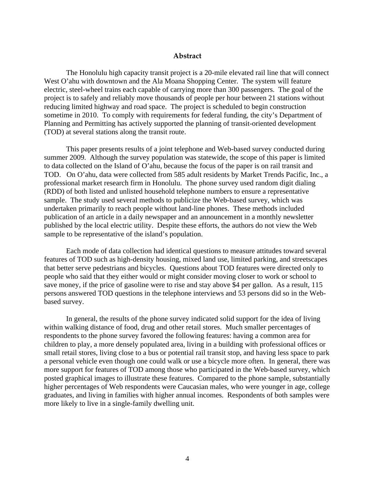### **Abstract**

The Honolulu high capacity transit project is a 20-mile elevated rail line that will connect West O'ahu with downtown and the Ala Moana Shopping Center. The system will feature electric, steel-wheel trains each capable of carrying more than 300 passengers. The goal of the project is to safely and reliably move thousands of people per hour between 21 stations without reducing limited highway and road space. The project is scheduled to begin construction sometime in 2010. To comply with requirements for federal funding, the city's Department of Planning and Permitting has actively supported the planning of transit-oriented development (TOD) at several stations along the transit route.

This paper presents results of a joint telephone and Web-based survey conducted during summer 2009. Although the survey population was statewide, the scope of this paper is limited to data collected on the Island of O'ahu, because the focus of the paper is on rail transit and TOD. On O'ahu, data were collected from 585 adult residents by Market Trends Pacific, Inc., a professional market research firm in Honolulu. The phone survey used random digit dialing (RDD) of both listed and unlisted household telephone numbers to ensure a representative sample. The study used several methods to publicize the Web-based survey, which was undertaken primarily to reach people without land-line phones. These methods included publication of an article in a daily newspaper and an announcement in a monthly newsletter published by the local electric utility. Despite these efforts, the authors do not view the Web sample to be representative of the island's population.

Each mode of data collection had identical questions to measure attitudes toward several features of TOD such as high-density housing, mixed land use, limited parking, and streetscapes that better serve pedestrians and bicycles. Questions about TOD features were directed only to people who said that they either would or might consider moving closer to work or school to save money, if the price of gasoline were to rise and stay above \$4 per gallon. As a result, 115 persons answered TOD questions in the telephone interviews and 53 persons did so in the Webbased survey.

In general, the results of the phone survey indicated solid support for the idea of living within walking distance of food, drug and other retail stores. Much smaller percentages of respondents to the phone survey favored the following features: having a common area for children to play, a more densely populated area, living in a building with professional offices or small retail stores, living close to a bus or potential rail transit stop, and having less space to park a personal vehicle even though one could walk or use a bicycle more often. In general, there was more support for features of TOD among those who participated in the Web-based survey, which posted graphical images to illustrate these features. Compared to the phone sample, substantially higher percentages of Web respondents were Caucasian males, who were younger in age, college graduates, and living in families with higher annual incomes. Respondents of both samples were more likely to live in a single-family dwelling unit.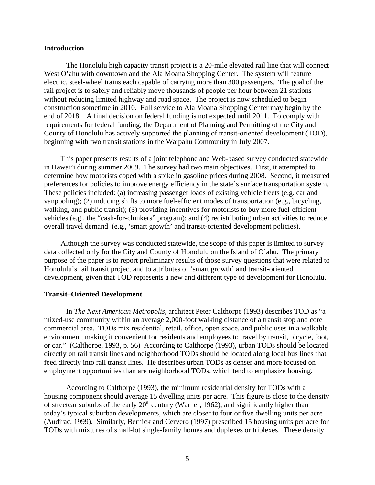### **Introduction**

The Honolulu high capacity transit project is a 20-mile elevated rail line that will connect West O'ahu with downtown and the Ala Moana Shopping Center. The system will feature electric, steel-wheel trains each capable of carrying more than 300 passengers. The goal of the rail project is to safely and reliably move thousands of people per hour between 21 stations without reducing limited highway and road space. The project is now scheduled to begin construction sometime in 2010. Full service to Ala Moana Shopping Center may begin by the end of 2018. A final decision on federal funding is not expected until 2011. To comply with requirements for federal funding, the Department of Planning and Permitting of the City and County of Honolulu has actively supported the planning of transit-oriented development (TOD), beginning with two transit stations in the Waipahu Community in July 2007.

This paper presents results of a joint telephone and Web-based survey conducted statewide in Hawai'i during summer 2009. The survey had two main objectives. First, it attempted to determine how motorists coped with a spike in gasoline prices during 2008. Second, it measured preferences for policies to improve energy efficiency in the state's surface transportation system. These policies included: (a) increasing passenger loads of existing vehicle fleets (e.g. car and vanpooling); (2) inducing shifts to more fuel-efficient modes of transportation (e.g., bicycling, walking, and public transit); (3) providing incentives for motorists to buy more fuel-efficient vehicles (e.g., the "cash-for-clunkers" program); and (4) redistributing urban activities to reduce overall travel demand (e.g., 'smart growth' and transit-oriented development policies).

Although the survey was conducted statewide, the scope of this paper is limited to survey data collected only for the City and County of Honolulu on the Island of O'ahu. The primary purpose of the paper is to report preliminary results of those survey questions that were related to Honolulu's rail transit project and to attributes of 'smart growth' and transit-oriented development, given that TOD represents a new and different type of development for Honolulu.

### **Transit–Oriented Development**

In *The Next American Metropolis*, architect Peter Calthorpe (1993) describes TOD as "a mixed-use community within an average 2,000-foot walking distance of a transit stop and core commercial area. TODs mix residential, retail, office, open space, and public uses in a walkable environment, making it convenient for residents and employees to travel by transit, bicycle, foot, or car." (Calthorpe, 1993, p. 56) According to Calthorpe (1993), urban TODs should be located directly on rail transit lines and neighborhood TODs should be located along local bus lines that feed directly into rail transit lines. He describes urban TODs as denser and more focused on employment opportunities than are neighborhood TODs, which tend to emphasize housing.

According to Calthorpe (1993), the minimum residential density for TODs with a housing component should average 15 dwelling units per acre. This figure is close to the density of streetcar suburbs of the early  $20<sup>th</sup>$  century (Warner, 1962), and significantly higher than today's typical suburban developments, which are closer to four or five dwelling units per acre (Audirac, 1999). Similarly, Bernick and Cervero (1997) prescribed 15 housing units per acre for TODs with mixtures of small-lot single-family homes and duplexes or triplexes. These density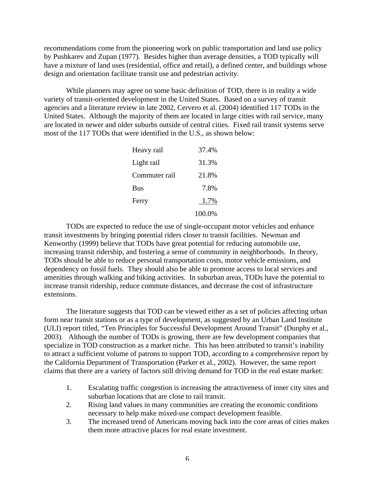recommendations come from the pioneering work on public transportation and land use policy by Pushkarev and Zupan (1977). Besides higher than average densities, a TOD typically will have a mixture of land uses (residential, office and retail), a defined center, and buildings whose design and orientation facilitate transit use and pedestrian activity.

While planners may agree on some basic definition of TOD, there is in reality a wide variety of transit-oriented development in the United States. Based on a survey of transit agencies and a literature review in late 2002, Cervero et al. (2004) identified 117 TODs in the United States. Although the majority of them are located in large cities with rail service, many are located in newer and older suburbs outside of central cities. Fixed rail transit systems serve most of the 117 TODs that were identified in the U.S., as shown below:

| Heavy rail    | 37.4%  |
|---------------|--------|
| Light rail    | 31.3%  |
| Commuter rail | 21.8%  |
| <b>Bus</b>    | 7.8%   |
| Ferry         | 1.7%   |
|               | 100.0% |

TODs are expected to reduce the use of single-occupant motor vehicles and enhance transit investments by bringing potential riders closer to transit facilities. Newman and Kenworthy (1999) believe that TODs have great potential for reducing automobile use, increasing transit ridership, and fostering a sense of community in neighborhoods. In theory, TODs should be able to reduce personal transportation costs, motor vehicle emissions, and dependency on fossil fuels. They should also be able to promote access to local services and amenities through walking and biking activities. In suburban areas, TODs have the potential to increase transit ridership, reduce commute distances, and decrease the cost of infrastructure extensions.

The literature suggests that TOD can be viewed either as a set of policies affecting urban form near transit stations or as a type of development, as suggested by an Urban Land Institute (ULI) report titled, "Ten Principles for Successful Development Around Transit" (Dunphy et al., 2003). Although the number of TODs is growing, there are few development companies that specialize in TOD construction as a market niche. This has been attributed to transit's inability to attract a sufficient volume of patrons to support TOD, according to a comprehensive report by the California Department of Transportation (Parker et al., 2002). However, the same report claims that there are a variety of factors still driving demand for TOD in the real estate market:

- 1. Escalating traffic congestion is increasing the attractiveness of inner city sites and suburban locations that are close to rail transit.
- 2. Rising land values in many communities are creating the economic conditions necessary to help make mixed-use compact development feasible.
- 3. The increased trend of Americans moving back into the core areas of cities makes them more attractive places for real estate investment.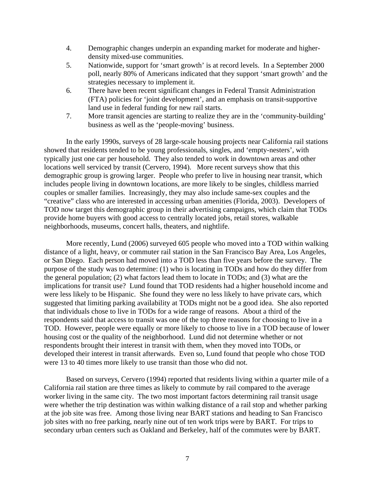- 4. Demographic changes underpin an expanding market for moderate and higherdensity mixed-use communities.
- 5. Nationwide, support for 'smart growth' is at record levels. In a September 2000 poll, nearly 80% of Americans indicated that they support 'smart growth' and the strategies necessary to implement it.
- 6. There have been recent significant changes in Federal Transit Administration (FTA) policies for 'joint development', and an emphasis on transit-supportive land use in federal funding for new rail starts.
- 7. More transit agencies are starting to realize they are in the 'community-building' business as well as the 'people-moving' business.

In the early 1990s, surveys of 28 large-scale housing projects near California rail stations showed that residents tended to be young professionals, singles, and 'empty-nesters', with typically just one car per household. They also tended to work in downtown areas and other locations well serviced by transit (Cervero, 1994). More recent surveys show that this demographic group is growing larger. People who prefer to live in housing near transit, which includes people living in downtown locations, are more likely to be singles, childless married couples or smaller families. Increasingly, they may also include same-sex couples and the "creative" class who are interested in accessing urban amenities (Florida, 2003). Developers of TOD now target this demographic group in their advertising campaigns, which claim that TODs provide home buyers with good access to centrally located jobs, retail stores, walkable neighborhoods, museums, concert halls, theaters, and nightlife.

More recently, Lund (2006) surveyed 605 people who moved into a TOD within walking distance of a light, heavy, or commuter rail station in the San Francisco Bay Area, Los Angeles, or San Diego. Each person had moved into a TOD less than five years before the survey. The purpose of the study was to determine: (1) who is locating in TODs and how do they differ from the general population; (2) what factors lead them to locate in TODs; and (3) what are the implications for transit use? Lund found that TOD residents had a higher household income and were less likely to be Hispanic. She found they were no less likely to have private cars, which suggested that limiting parking availability at TODs might not be a good idea. She also reported that individuals chose to live in TODs for a wide range of reasons. About a third of the respondents said that access to transit was one of the top three reasons for choosing to live in a TOD. However, people were equally or more likely to choose to live in a TOD because of lower housing cost or the quality of the neighborhood. Lund did not determine whether or not respondents brought their interest in transit with them, when they moved into TODs, or developed their interest in transit afterwards. Even so, Lund found that people who chose TOD were 13 to 40 times more likely to use transit than those who did not.

Based on surveys, Cervero (1994) reported that residents living within a quarter mile of a California rail station are three times as likely to commute by rail compared to the average worker living in the same city. The two most important factors determining rail transit usage were whether the trip destination was within walking distance of a rail stop and whether parking at the job site was free. Among those living near BART stations and heading to San Francisco job sites with no free parking, nearly nine out of ten work trips were by BART. For trips to secondary urban centers such as Oakland and Berkeley, half of the commutes were by BART.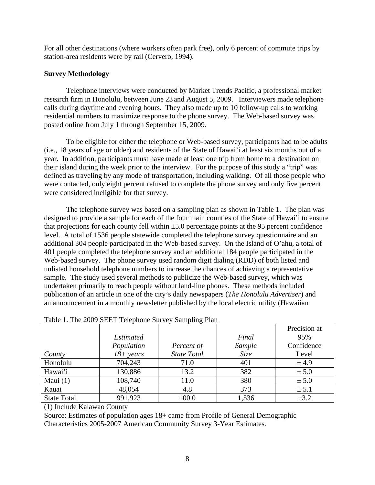For all other destinations (where workers often park free), only 6 percent of commute trips by station-area residents were by rail (Cervero, 1994).

# **Survey Methodology**

Telephone interviews were conducted by Market Trends Pacific, a professional market research firm in Honolulu, between June 23 and August 5, 2009. Interviewers made telephone calls during daytime and evening hours. They also made up to 10 follow-up calls to working residential numbers to maximize response to the phone survey. The Web-based survey was posted online from July 1 through September 15, 2009.

To be eligible for either the telephone or Web-based survey, participants had to be adults (i.e., 18 years of age or older) and residents of the State of Hawai'i at least six months out of a year. In addition, participants must have made at least one trip from home to a destination on their island during the week prior to the interview. For the purpose of this study a "trip" was defined as traveling by any mode of transportation, including walking. Of all those people who were contacted, only eight percent refused to complete the phone survey and only five percent were considered ineligible for that survey.

The telephone survey was based on a sampling plan as shown in Table 1. The plan was designed to provide a sample for each of the four main counties of the State of Hawai'i to ensure that projections for each county fell within  $\pm 5.0$  percentage points at the 95 percent confidence level. A total of 1536 people statewide completed the telephone survey questionnaire and an additional 304 people participated in the Web-based survey. On the Island of O'ahu, a total of 401 people completed the telephone survey and an additional 184 people participated in the Web-based survey. The phone survey used random digit dialing (RDD) of both listed and unlisted household telephone numbers to increase the chances of achieving a representative sample. The study used several methods to publicize the Web-based survey, which was undertaken primarily to reach people without land-line phones. These methods included publication of an article in one of the city's daily newspapers (*The Honolulu Advertiser*) and an announcement in a monthly newsletter published by the local electric utility (Hawaiian

|                    |              |                    |        | Precision at |
|--------------------|--------------|--------------------|--------|--------------|
|                    | Estimated    |                    | Final  | 95%          |
|                    | Population   | Percent of         | Sample | Confidence   |
| County             | $18 + years$ | <b>State Total</b> | Size   | Level        |
| Honolulu           | 704,243      | 71.0               | 401    | ± 4.9        |
| Hawai'i            | 130,886      | 13.2               | 382    | ± 5.0        |
| Maui $(1)$         | 108,740      | 11.0               | 380    | ± 5.0        |
| Kauai              | 48,054       | 4.8                | 373    | ± 5.1        |
| <b>State Total</b> | 991,923      | 100.0              | 1,536  | $\pm 3.2$    |

| Table 1. The 2009 SEET Telephone Survey Sampling Plan |  |  |  |
|-------------------------------------------------------|--|--|--|
|-------------------------------------------------------|--|--|--|

(1) Include Kalawao County

Source: Estimates of population ages 18+ came from Profile of General Demographic Characteristics 2005-2007 American Community Survey 3-Year Estimates.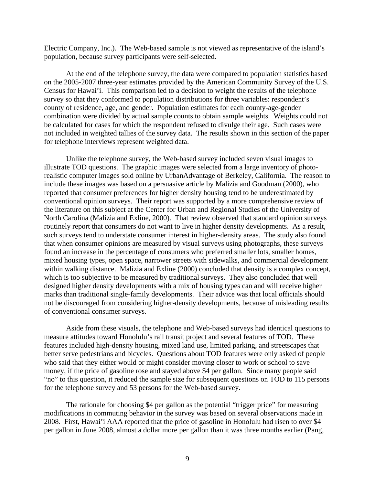Electric Company, Inc.). The Web-based sample is not viewed as representative of the island's population, because survey participants were self-selected.

At the end of the telephone survey, the data were compared to population statistics based on the 2005-2007 three-year estimates provided by the American Community Survey of the U.S. Census for Hawai'i. This comparison led to a decision to weight the results of the telephone survey so that they conformed to population distributions for three variables: respondent's county of residence, age, and gender. Population estimates for each county-age-gender combination were divided by actual sample counts to obtain sample weights. Weights could not be calculated for cases for which the respondent refused to divulge their age. Such cases were not included in weighted tallies of the survey data. The results shown in this section of the paper for telephone interviews represent weighted data.

Unlike the telephone survey, the Web-based survey included seven visual images to illustrate TOD questions. The graphic images were selected from a large inventory of photorealistic computer images sold online by UrbanAdvantage of Berkeley, California. The reason to include these images was based on a persuasive article by Malizia and Goodman (2000), who reported that consumer preferences for higher density housing tend to be underestimated by conventional opinion surveys. Their report was supported by a more comprehensive review of the literature on this subject at the Center for Urban and Regional Studies of the University of North Carolina (Malizia and Exline, 2000). That review observed that standard opinion surveys routinely report that consumers do not want to live in higher density developments. As a result, such surveys tend to understate consumer interest in higher-density areas. The study also found that when consumer opinions are measured by visual surveys using photographs, these surveys found an increase in the percentage of consumers who preferred smaller lots, smaller homes, mixed housing types, open space, narrower streets with sidewalks, and commercial development within walking distance. Malizia and Exline (2000) concluded that density is a complex concept, which is too subjective to be measured by traditional surveys. They also concluded that well designed higher density developments with a mix of housing types can and will receive higher marks than traditional single-family developments. Their advice was that local officials should not be discouraged from considering higher-density developments, because of misleading results of conventional consumer surveys.

Aside from these visuals, the telephone and Web-based surveys had identical questions to measure attitudes toward Honolulu's rail transit project and several features of TOD. These features included high-density housing, mixed land use, limited parking, and streetscapes that better serve pedestrians and bicycles. Questions about TOD features were only asked of people who said that they either would or might consider moving closer to work or school to save money, if the price of gasoline rose and stayed above \$4 per gallon. Since many people said "no" to this question, it reduced the sample size for subsequent questions on TOD to 115 persons for the telephone survey and 53 persons for the Web-based survey.

The rationale for choosing \$4 per gallon as the potential "trigger price" for measuring modifications in commuting behavior in the survey was based on several observations made in 2008. First, Hawai'i AAA reported that the price of gasoline in Honolulu had risen to over \$4 per gallon in June 2008, almost a dollar more per gallon than it was three months earlier (Pang,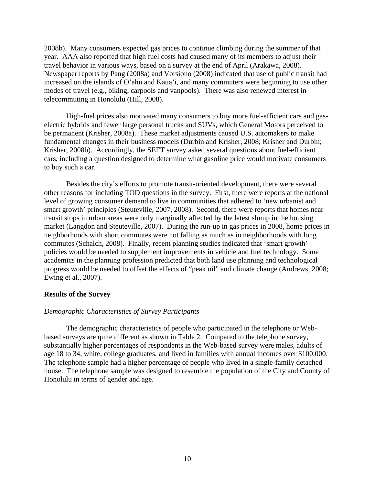2008b). Many consumers expected gas prices to continue climbing during the summer of that year. AAA also reported that high fuel costs had caused many of its members to adjust their travel behavior in various ways, based on a survey at the end of April (Arakawa, 2008). Newspaper reports by Pang (2008a) and Vorsiono (2008) indicated that use of public transit had increased on the islands of O'ahu and Kaua'i, and many commuters were beginning to use other modes of travel (e.g., biking, carpools and vanpools). There was also renewed interest in telecommuting in Honolulu (Hill, 2008).

High-fuel prices also motivated many consumers to buy more fuel-efficient cars and gaselectric hybrids and fewer large personal trucks and SUVs, which General Motors perceived to be permanent (Krisher, 2008a). These market adjustments caused U.S. automakers to make fundamental changes in their business models (Durbin and Krisher, 2008; Krisher and Durbin; Krisher, 2008b). Accordingly, the SEET survey asked several questions about fuel-efficient cars, including a question designed to determine what gasoline price would motivate consumers to buy such a car.

Besides the city's efforts to promote transit-oriented development, there were several other reasons for including TOD questions in the survey. First, there were reports at the national level of growing consumer demand to live in communities that adhered to 'new urbanist and smart growth' principles (Steuteville, 2007, 2008). Second, there were reports that homes near transit stops in urban areas were only marginally affected by the latest slump in the housing market (Langdon and Steuteville, 2007). During the run-up in gas prices in 2008, home prices in neighborhoods with short commutes were not falling as much as in neighborhoods with long commutes (Schalch, 2008). Finally, recent planning studies indicated that 'smart growth' policies would be needed to supplement improvements in vehicle and fuel technology. Some academics in the planning profession predicted that both land use planning and technological progress would be needed to offset the effects of "peak oil" and climate change (Andrews, 2008; Ewing et al., 2007).

## **Results of the Survey**

## *Demographic Characteristics of Survey Participants*

The demographic characteristics of people who participated in the telephone or Webbased surveys are quite different as shown in Table 2. Compared to the telephone survey, substantially higher percentages of respondents in the Web-based survey were males, adults of age 18 to 34, white, college graduates, and lived in families with annual incomes over \$100,000. The telephone sample had a higher percentage of people who lived in a single-family detached house. The telephone sample was designed to resemble the population of the City and County of Honolulu in terms of gender and age.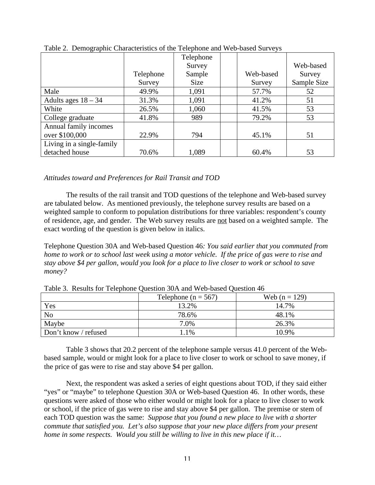|                           |           | Telephone |           |             |
|---------------------------|-----------|-----------|-----------|-------------|
|                           |           | Survey    |           | Web-based   |
|                           | Telephone | Sample    | Web-based | Survey      |
|                           | Survey    | Size      | Survey    | Sample Size |
| Male                      | 49.9%     | 1,091     | 57.7%     | 52          |
| Adults ages $18 - 34$     | 31.3%     | 1,091     | 41.2%     | 51          |
| White                     | 26.5%     | 1,060     | 41.5%     | 53          |
| College graduate          | 41.8%     | 989       | 79.2%     | 53          |
| Annual family incomes     |           |           |           |             |
| over \$100,000            | 22.9%     | 794       | 45.1%     | 51          |
| Living in a single-family |           |           |           |             |
| detached house            | 70.6%     | 1,089     | 60.4%     | 53          |

Table 2. Demographic Characteristics of the Telephone and Web-based Surveys

# *Attitudes toward and Preferences for Rail Transit and TOD*

The results of the rail transit and TOD questions of the telephone and Web-based survey are tabulated below. As mentioned previously, the telephone survey results are based on a weighted sample to conform to population distributions for three variables: respondent's county of residence, age, and gender. The Web survey results are not based on a weighted sample. The exact wording of the question is given below in italics.

Telephone Question 30A and Web-based Question 46*: You said earlier that you commuted from home to work or to school last week using a motor vehicle. If the price of gas were to rise and stay above \$4 per gallon, would you look for a place to live closer to work or school to save money?*

|                      | Telephone ( $n = 567$ ) | Web $(n = 129)$ |
|----------------------|-------------------------|-----------------|
| Yes                  | 13.2%                   | 14.7%           |
| N <sub>o</sub>       | 78.6%                   | 48.1%           |
| Maybe                | 7.0%                    | 26.3%           |
| Don't know / refused | 1.1%                    | 10.9%           |

Table 3. Results for Telephone Question 30A and Web-based Question 46

Table 3 shows that 20.2 percent of the telephone sample versus 41.0 percent of the Webbased sample, would or might look for a place to live closer to work or school to save money, if the price of gas were to rise and stay above \$4 per gallon.

Next, the respondent was asked a series of eight questions about TOD, if they said either "yes" or "maybe" to telephone Question 30A or Web-based Question 46. In other words, these questions were asked of those who either would or might look for a place to live closer to work or school, if the price of gas were to rise and stay above \$4 per gallon. The premise or stem of each TOD question was the same: *Suppose that you found a new place to live with a shorter commute that satisfied you. Let's also suppose that your new place differs from your present home in some respects. Would you still be willing to live in this new place if it…*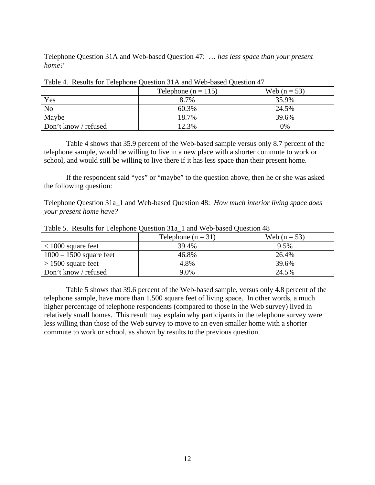Telephone Question 31A and Web-based Question 47: … *has less space than your present home?*

|                      | Telephone ( $n = 115$ ) | Web $(n = 53)$ |
|----------------------|-------------------------|----------------|
| Yes                  | 8.7%                    | 35.9%          |
| N <sub>o</sub>       | 60.3%                   | 24.5%          |
| Maybe                | 18.7%                   | 39.6%          |
| Don't know / refused | 12.3%                   | 0%             |

Table 4. Results for Telephone Question 31A and Web-based Question 47

Table 4 shows that 35.9 percent of the Web-based sample versus only 8.7 percent of the telephone sample, would be willing to live in a new place with a shorter commute to work or school, and would still be willing to live there if it has less space than their present home.

If the respondent said "yes" or "maybe" to the question above, then he or she was asked the following question:

Telephone Question 31a\_1 and Web-based Question 48: *How much interior living space does your present home have?*

|                           | Telephone $(n = 31)$ | Web $(n = 53)$ |
|---------------------------|----------------------|----------------|
| $<$ 1000 square feet      | 39.4%                | 9.5%           |
| $1000 - 1500$ square feet | 46.8%                | 26.4%          |
| $> 1500$ square feet      | 4.8%                 | 39.6%          |
| Don't know / refused      | 9.0%                 | 24.5%          |

Table 5. Results for Telephone Question 31a\_1 and Web-based Question 48

Table 5 shows that 39.6 percent of the Web-based sample, versus only 4.8 percent of the telephone sample, have more than 1,500 square feet of living space. In other words, a much higher percentage of telephone respondents (compared to those in the Web survey) lived in relatively small homes. This result may explain why participants in the telephone survey were less willing than those of the Web survey to move to an even smaller home with a shorter commute to work or school, as shown by results to the previous question.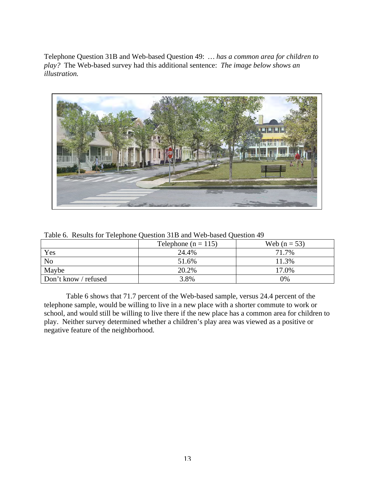Telephone Question 31B and Web-based Question 49: *… has a common area for children to play?* The Web-based survey had this additional sentence: *The image below shows an illustration.*



|                      | Telephone ( $n = 115$ ) | Web $(n = 53)$ |
|----------------------|-------------------------|----------------|
| Yes                  | 24.4%                   | 71.7%          |
| N <sub>o</sub>       | 51.6%                   | 11.3%          |
| Maybe                | 20.2%                   | 17.0%          |
| Don't know / refused | 3.8%                    | 0%             |

Table 6. Results for Telephone Question 31B and Web-based Question 49

Table 6 shows that 71.7 percent of the Web-based sample, versus 24.4 percent of the telephone sample, would be willing to live in a new place with a shorter commute to work or school, and would still be willing to live there if the new place has a common area for children to play. Neither survey determined whether a children's play area was viewed as a positive or negative feature of the neighborhood.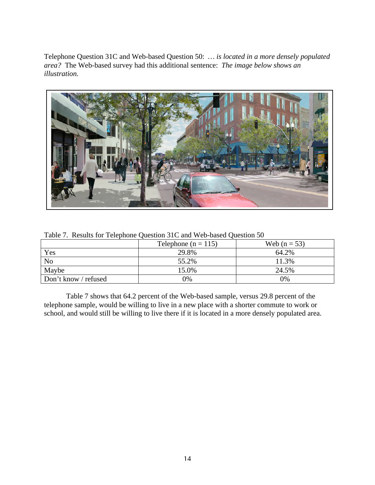Telephone Question 31C and Web-based Question 50: *… is located in a more densely populated area?* The Web-based survey had this additional sentence: *The image below shows an illustration.*



| Tuble 1: Results for Telephone Question 5TC and 47 co-based Question 50 |                         |                |  |
|-------------------------------------------------------------------------|-------------------------|----------------|--|
|                                                                         | Telephone ( $n = 115$ ) | Web $(n = 53)$ |  |
| Yes                                                                     | 29.8%                   | 64.2%          |  |
| N <sub>0</sub>                                                          | 55.2%                   | 11.3%          |  |
| Maybe                                                                   | 15.0%                   | 24.5%          |  |
| Don't know / refused                                                    | 0%                      | $0\%$          |  |

Table 7. Results for Telephone Question 31C and Web-based Question 50

Table 7 shows that 64.2 percent of the Web-based sample, versus 29.8 percent of the telephone sample, would be willing to live in a new place with a shorter commute to work or school, and would still be willing to live there if it is located in a more densely populated area.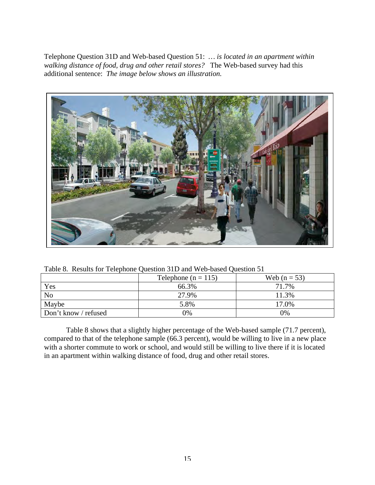Telephone Question 31D and Web-based Question 51: *… is located in an apartment within walking distance of food, drug and other retail stores?* The Web-based survey had this additional sentence: *The image below shows an illustration.*



Table 8. Results for Telephone Question 31D and Web-based Question 51

|                      | Telephone ( $n = 115$ ) | Web $(n = 53)$ |
|----------------------|-------------------------|----------------|
| Yes                  | 66.3%                   | 71.7%          |
| N <sub>o</sub>       | 27.9%                   | 11.3%          |
| Maybe                | 5.8%                    | 17.0%          |
| Don't know / refused | 0%                      | 0%             |

Table 8 shows that a slightly higher percentage of the Web-based sample (71.7 percent), compared to that of the telephone sample (66.3 percent), would be willing to live in a new place with a shorter commute to work or school, and would still be willing to live there if it is located in an apartment within walking distance of food, drug and other retail stores.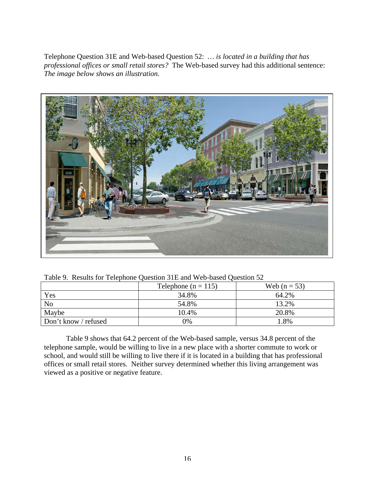Telephone Question 31E and Web-based Question 52: *… is located in a building that has professional offices or small retail stores?* The Web-based survey had this additional sentence: *The image below shows an illustration.*



Table 9. Results for Telephone Question 31E and Web-based Question 52

|                      | Telephone ( $n = 115$ ) | Web $(n = 53)$ |
|----------------------|-------------------------|----------------|
| Yes                  | 34.8%                   | 64.2%          |
| N <sub>o</sub>       | 54.8%                   | 13.2%          |
| Maybe                | 10.4%                   | 20.8%          |
| Don't know / refused | 0%                      | $1.8\%$        |

Table 9 shows that 64.2 percent of the Web-based sample, versus 34.8 percent of the telephone sample, would be willing to live in a new place with a shorter commute to work or school, and would still be willing to live there if it is located in a building that has professional offices or small retail stores. Neither survey determined whether this living arrangement was viewed as a positive or negative feature.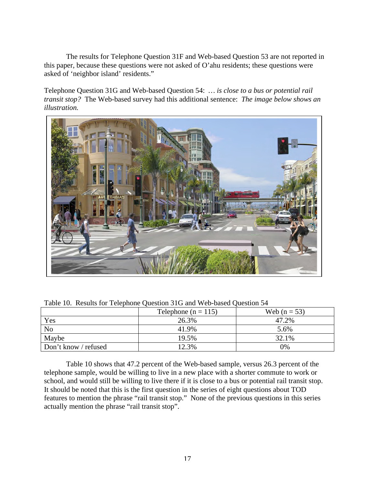The results for Telephone Question 31F and Web-based Question 53 are not reported in this paper, because these questions were not asked of O'ahu residents; these questions were asked of 'neighbor island' residents."

Telephone Question 31G and Web-based Question 54: *… is close to a bus or potential rail transit stop?* The Web-based survey had this additional sentence: *The image below shows an illustration.*



| Table 10. Results for Telephone Question 31G and Web-based Question 54 |  |  |  |  |
|------------------------------------------------------------------------|--|--|--|--|
|------------------------------------------------------------------------|--|--|--|--|

|                      | Telephone ( $n = 115$ ) | Web $(n = 53)$ |
|----------------------|-------------------------|----------------|
| Yes                  | 26.3%                   | 47.2%          |
| N <sub>0</sub>       | 41.9%                   | 5.6%           |
| Maybe                | 19.5%                   | 32.1%          |
| Don't know / refused | 12.3%                   | 0%             |

Table 10 shows that 47.2 percent of the Web-based sample, versus 26.3 percent of the telephone sample, would be willing to live in a new place with a shorter commute to work or school, and would still be willing to live there if it is close to a bus or potential rail transit stop. It should be noted that this is the first question in the series of eight questions about TOD features to mention the phrase "rail transit stop." None of the previous questions in this series actually mention the phrase "rail transit stop".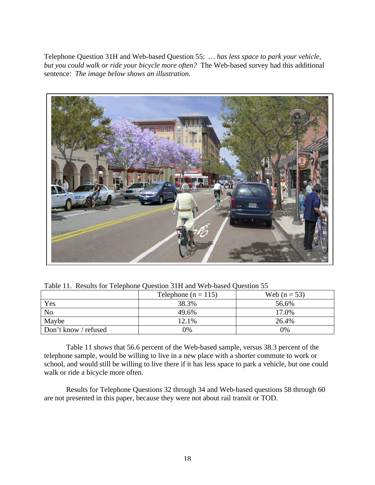Telephone Question 31H and Web-based Question 55: *… has less space to park your vehicle, but you could walk or ride your bicycle more often?* The Web-based survey had this additional sentence: *The image below shows an illustration.*



|                      | Telephone ( $n = 115$ ) | Web $(n = 53)$ |
|----------------------|-------------------------|----------------|
| Yes                  | 38.3%                   | 56.6%          |
| N <sub>o</sub>       | 49.6%                   | 17.0%          |
| Maybe                | 12.1%                   | 26.4%          |
| Don't know / refused | 9%                      | 0%             |

Table 11 shows that 56.6 percent of the Web-based sample, versus 38.3 percent of the telephone sample, would be willing to live in a new place with a shorter commute to work or school, and would still be willing to live there if it has less space to park a vehicle, but one could walk or ride a bicycle more often.

Results for Telephone Questions 32 through 34 and Web-based questions 58 through 60 are not presented in this paper, because they were not about rail transit or TOD.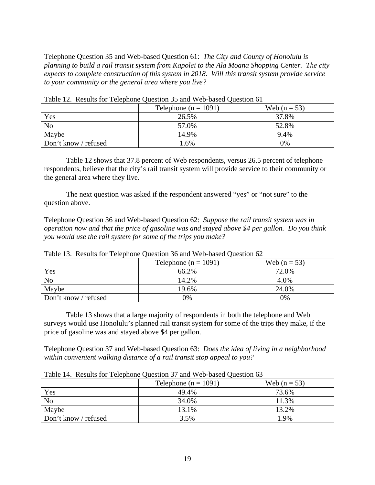Telephone Question 35 and Web-based Question 61: *The City and County of Honolulu is planning to build a rail transit system from Kapolei to the Ala Moana Shopping Center. The city expects to complete construction of this system in 2018. Will this transit system provide service to your community or the general area where you live?*

|                      | Telephone ( $n = 1091$ ) | Web $(n = 53)$ |
|----------------------|--------------------------|----------------|
| Yes                  | 26.5%                    | 37.8%          |
| N <sub>o</sub>       | 57.0%                    | 52.8%          |
| Maybe                | 14.9%                    | 9.4%           |
| Don't know / refused | 1.6%                     | 0%             |

Table 12. Results for Telephone Question 35 and Web-based Question 61

Table 12 shows that 37.8 percent of Web respondents, versus 26.5 percent of telephone respondents, believe that the city's rail transit system will provide service to their community or the general area where they live.

The next question was asked if the respondent answered "yes" or "not sure" to the question above.

Telephone Question 36 and Web-based Question 62: *Suppose the rail transit system was in operation now and that the price of gasoline was and stayed above \$4 per gallon. Do you think you would use the rail system for some of the trips you make?*

|                      | Telephone ( $n = 1091$ ) | Web $(n = 53)$ |  |
|----------------------|--------------------------|----------------|--|
| Yes                  | 66.2%                    | 72.0%          |  |
| N <sub>o</sub>       | 14.2%                    | 4.0%           |  |
| Maybe                | 19.6%                    | 24.0%          |  |
| Don't know / refused | 0%                       | 0%             |  |

Table 13. Results for Telephone Question 36 and Web-based Question 62

Table 13 shows that a large majority of respondents in both the telephone and Web surveys would use Honolulu's planned rail transit system for some of the trips they make, if the price of gasoline was and stayed above \$4 per gallon.

Telephone Question 37 and Web-based Question 63: *Does the idea of living in a neighborhood within convenient walking distance of a rail transit stop appeal to you?*

|                      | Telephone ( $n = 1091$ ) | Web $(n = 53)$ |
|----------------------|--------------------------|----------------|
| Yes                  | 49.4%                    | 73.6%          |
| N <sub>o</sub>       | 34.0%                    | 11.3%          |
| Maybe                | 13.1%                    | 13.2%          |
| Don't know / refused | 3.5%                     | l.9%           |

Table 14. Results for Telephone Question 37 and Web-based Question 63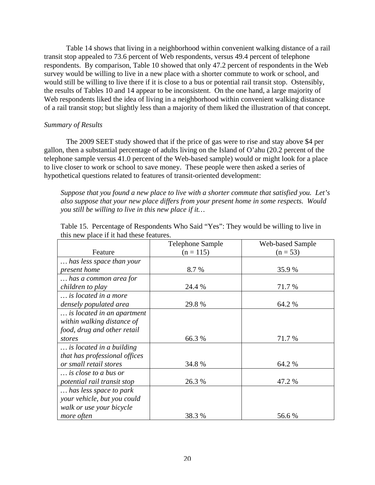Table 14 shows that living in a neighborhood within convenient walking distance of a rail transit stop appealed to 73.6 percent of Web respondents, versus 49.4 percent of telephone respondents. By comparison, Table 10 showed that only 47.2 percent of respondents in the Web survey would be willing to live in a new place with a shorter commute to work or school, and would still be willing to live there if it is close to a bus or potential rail transit stop. Ostensibly, the results of Tables 10 and 14 appear to be inconsistent. On the one hand, a large majority of Web respondents liked the idea of living in a neighborhood within convenient walking distance of a rail transit stop; but slightly less than a majority of them liked the illustration of that concept.

## *Summary of Results*

The 2009 SEET study showed that if the price of gas were to rise and stay above \$4 per gallon, then a substantial percentage of adults living on the Island of O'ahu (20.2 percent of the telephone sample versus 41.0 percent of the Web-based sample) would or might look for a place to live closer to work or school to save money. These people were then asked a series of hypothetical questions related to features of transit-oriented development:

*Suppose that you found a new place to live with a shorter commute that satisfied you. Let's also suppose that your new place differs from your present home in some respects. Would you still be willing to live in this new place if it…*

|                               | Telephone Sample | <b>Web-based Sample</b> |  |
|-------------------------------|------------------|-------------------------|--|
| Feature                       | $(n = 115)$      | $(n = 53)$              |  |
| has less space than your      |                  |                         |  |
| present home                  | 8.7 %            | 35.9%                   |  |
| has a common area for         |                  |                         |  |
| children to play              | 24.4 %           | 71.7 %                  |  |
| is located in a more          |                  |                         |  |
| densely populated area        | 29.8 %           | 64.2 %                  |  |
| is located in an apartment    |                  |                         |  |
| within walking distance of    |                  |                         |  |
| food, drug and other retail   |                  |                         |  |
| stores                        | 66.3 %           | 71.7 %                  |  |
| is located in a building      |                  |                         |  |
| that has professional offices |                  |                         |  |
| or small retail stores        | 34.8 %           | 64.2 %                  |  |
| is close to a bus or          |                  |                         |  |
| potential rail transit stop   | 26.3 %           | 47.2 %                  |  |
| has less space to park        |                  |                         |  |
| your vehicle, but you could   |                  |                         |  |
| walk or use your bicycle      |                  |                         |  |
| more often                    | 38.3 %           | 56.6 %                  |  |

| Table 15. Percentage of Respondents Who Said "Yes": They would be willing to live in |  |  |  |
|--------------------------------------------------------------------------------------|--|--|--|
| this new place if it had these features.                                             |  |  |  |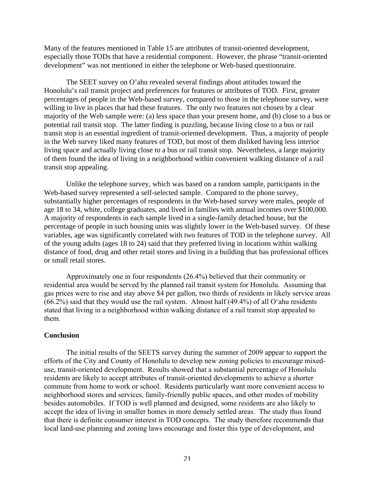Many of the features mentioned in Table 15 are attributes of transit-oriented development, especially those TODs that have a residential component. However, the phrase "transit-oriented development" was not mentioned in either the telephone or Web-based questionnaire.

The SEET survey on O'ahu revealed several findings about attitudes toward the Honolulu's rail transit project and preferences for features or attributes of TOD. First, greater percentages of people in the Web-based survey, compared to those in the telephone survey, were willing to live in places that had these features. The only two features not chosen by a clear majority of the Web sample were: (a) less space than your present home, and (b) close to a bus or potential rail transit stop. The latter finding is puzzling, because living close to a bus or rail transit stop is an essential ingredient of transit-oriented development. Thus, a majority of people in the Web survey liked many features of TOD, but most of them disliked having less interior living space and actually living close to a bus or rail transit stop. Nevertheless, a large majority of them found the idea of living in a neighborhood within convenient walking distance of a rail transit stop appealing.

Unlike the telephone survey, which was based on a random sample, participants in the Web-based survey represented a self-selected sample. Compared to the phone survey, substantially higher percentages of respondents in the Web-based survey were males, people of age 18 to 34, white, college graduates, and lived in families with annual incomes over \$100,000. A majority of respondents in each sample lived in a single-family detached house, but the percentage of people in such housing units was slightly lower in the Web-based survey. Of these variables, age was significantly correlated with two features of TOD in the telephone survey. All of the young adults (ages 18 to 24) said that they preferred living in locations within walking distance of food, drug and other retail stores and living in a building that has professional offices or small retail stores.

Approximately one in four respondents (26.4%) believed that their community or residential area would be served by the planned rail transit system for Honolulu. Assuming that gas prices were to rise and stay above \$4 per gallon, two thirds of residents in likely service areas (66.2%) said that they would use the rail system. Almost half (49.4%) of all O'ahu residents stated that living in a neighborhood within walking distance of a rail transit stop appealed to them.

## **Conclusion**

The initial results of the SEETS survey during the summer of 2009 appear to support the efforts of the City and County of Honolulu to develop new zoning policies to encourage mixeduse, transit-oriented development. Results showed that a substantial percentage of Honolulu residents are likely to accept attributes of transit-oriented developments to achieve a shorter commute from home to work or school. Residents particularly want more convenient access to neighborhood stores and services, family-friendly public spaces, and other modes of mobility besides automobiles. If TOD is well planned and designed, some residents are also likely to accept the idea of living in smaller homes in more densely settled areas. The study thus found that there is definite consumer interest in TOD concepts. The study therefore recommends that local land-use planning and zoning laws encourage and foster this type of development, and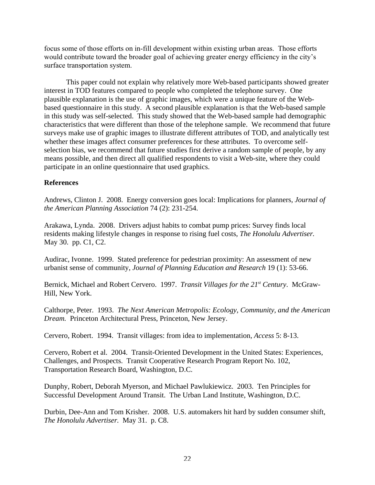focus some of those efforts on in-fill development within existing urban areas. Those efforts would contribute toward the broader goal of achieving greater energy efficiency in the city's surface transportation system.

This paper could not explain why relatively more Web-based participants showed greater interest in TOD features compared to people who completed the telephone survey. One plausible explanation is the use of graphic images, which were a unique feature of the Webbased questionnaire in this study. A second plausible explanation is that the Web-based sample in this study was self-selected. This study showed that the Web-based sample had demographic characteristics that were different than those of the telephone sample. We recommend that future surveys make use of graphic images to illustrate different attributes of TOD, and analytically test whether these images affect consumer preferences for these attributes. To overcome selfselection bias, we recommend that future studies first derive a random sample of people, by any means possible, and then direct all qualified respondents to visit a Web-site, where they could participate in an online questionnaire that used graphics.

## **References**

Andrews, Clinton J. 2008. Energy conversion goes local: Implications for planners, *Journal of the American Planning Association* 74 (2): 231-254.

Arakawa, Lynda. 2008. Drivers adjust habits to combat pump prices: Survey finds local residents making lifestyle changes in response to rising fuel costs, *The Honolulu Advertiser.* May 30. pp. C1, C2.

Audirac, Ivonne. 1999. Stated preference for pedestrian proximity: An assessment of new urbanist sense of community, *Journal of Planning Education and Research* 19 (1): 53-66.

Bernick, Michael and Robert Cervero. 1997. *Transit Villages for the 21st Century*. McGraw-Hill, New York.

Calthorpe, Peter. 1993. *The Next American Metropolis: Ecology, Community, and the American Dream.* Princeton Architectural Press, Princeton, New Jersey.

Cervero, Robert. 1994. Transit villages: from idea to implementation, *Access* 5: 8-13.

Cervero, Robert et al. 2004. Transit-Oriented Development in the United States: Experiences, Challenges, and Prospects. Transit Cooperative Research Program Report No. 102, Transportation Research Board, Washington, D.C.

Dunphy, Robert, Deborah Myerson, and Michael Pawlukiewicz. 2003. Ten Principles for Successful Development Around Transit. The Urban Land Institute, Washington, D.C.

Durbin, Dee-Ann and Tom Krisher. 2008. U.S. automakers hit hard by sudden consumer shift, *The Honolulu Advertiser.* May 31. p. C8.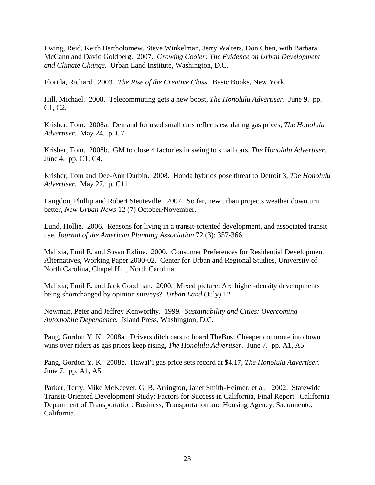Ewing, Reid, Keith Bartholomew, Steve Winkelman, Jerry Walters, Don Chen, with Barbara McCann and David Goldberg. 2007. *Growing Cooler: The Evidence on Urban Development and Climate Change.* Urban Land Institute, Washington, D.C.

Florida, Richard. 2003. *The Rise of the Creative Class*. Basic Books, New York.

Hill, Michael. 2008. Telecommuting gets a new boost, *The Honolulu Advertiser*. June 9. pp. C1, C2.

Krisher, Tom. 2008a. Demand for used small cars reflects escalating gas prices, *The Honolulu Advertiser.* May 24. p. C7.

Krisher, Tom. 2008b. GM to close 4 factories in swing to small cars, *The Honolulu Advertiser.* June 4. pp. C1, C4.

Krisher, Tom and Dee-Ann Durbin. 2008. Honda hybrids pose threat to Detroit 3, *The Honolulu Advertiser.* May 27. p. C11.

Langdon, Phillip and Robert Steuteville. 2007. So far, new urban projects weather downturn better, *New Urban News* 12 (7) October/November.

Lund, Hollie. 2006. Reasons for living in a transit-oriented development, and associated transit use, *Journal of the American Planning Association* 72 (3): 357-366.

Malizia, Emil E. and Susan Exline. 2000. Consumer Preferences for Residential Development Alternatives, Working Paper 2000-02. Center for Urban and Regional Studies, University of North Carolina, Chapel Hill, North Carolina.

Malizia, Emil E. and Jack Goodman. 2000. Mixed picture: Are higher-density developments being shortchanged by opinion surveys? *Urban Land* (July) 12.

Newman, Peter and Jeffrey Kenworthy. 1999. *Sustainability and Cities: Overcoming Automobile Dependence.* Island Press, Washington, D.C.

Pang, Gordon Y. K. 2008a. Drivers ditch cars to board TheBus: Cheaper commute into town wins over riders as gas prices keep rising, *The Honolulu Advertiser*. June 7. pp. A1, A5.

Pang, Gordon Y. K. 2008b. Hawai'i gas price sets record at \$4.17, *The Honolulu Advertiser*. June 7. pp. A1, A5.

Parker, Terry, Mike McKeever, G. B. Arrington, Janet Smith-Heimer, et al. 2002. Statewide Transit-Oriented Development Study: Factors for Success in California, Final Report. California Department of Transportation, Business, Transportation and Housing Agency, Sacramento, California.